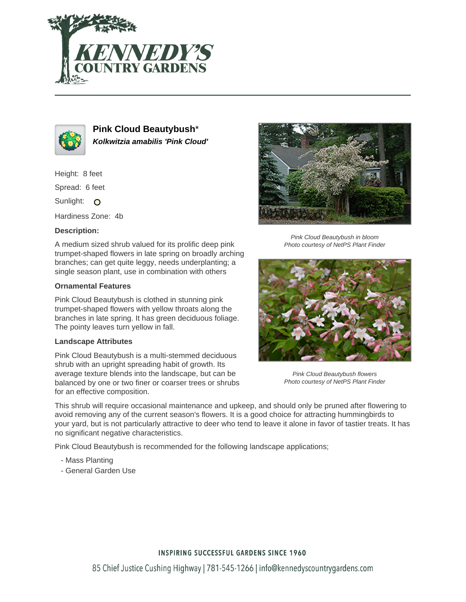



**Pink Cloud Beautybush**\* **Kolkwitzia amabilis 'Pink Cloud'**

Height: 8 feet

Spread: 6 feet

Sunlight: O

Hardiness Zone: 4b

## **Description:**

A medium sized shrub valued for its prolific deep pink trumpet-shaped flowers in late spring on broadly arching branches; can get quite leggy, needs underplanting; a single season plant, use in combination with others

## **Ornamental Features**

Pink Cloud Beautybush is clothed in stunning pink trumpet-shaped flowers with yellow throats along the branches in late spring. It has green deciduous foliage. The pointy leaves turn yellow in fall.

#### **Landscape Attributes**

Pink Cloud Beautybush is a multi-stemmed deciduous shrub with an upright spreading habit of growth. Its average texture blends into the landscape, but can be balanced by one or two finer or coarser trees or shrubs for an effective composition.



Pink Cloud Beautybush in bloom Photo courtesy of NetPS Plant Finder



Pink Cloud Beautybush flowers Photo courtesy of NetPS Plant Finder

This shrub will require occasional maintenance and upkeep, and should only be pruned after flowering to avoid removing any of the current season's flowers. It is a good choice for attracting hummingbirds to your yard, but is not particularly attractive to deer who tend to leave it alone in favor of tastier treats. It has no significant negative characteristics.

Pink Cloud Beautybush is recommended for the following landscape applications;

- Mass Planting
- General Garden Use

## **INSPIRING SUCCESSFUL GARDENS SINCE 1960**

85 Chief Justice Cushing Highway | 781-545-1266 | info@kennedyscountrygardens.com